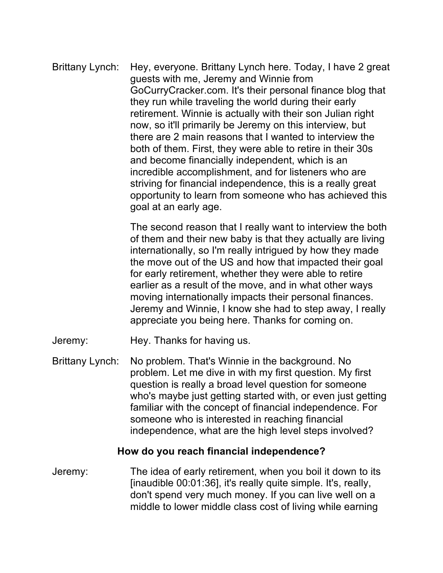Brittany Lynch: Hey, everyone. Brittany Lynch here. Today, I have 2 great guests with me, Jeremy and Winnie from GoCurryCracker.com. It's their personal finance blog that they run while traveling the world during their early retirement. Winnie is actually with their son Julian right now, so it'll primarily be Jeremy on this interview, but there are 2 main reasons that I wanted to interview the both of them. First, they were able to retire in their 30s and become financially independent, which is an incredible accomplishment, and for listeners who are striving for financial independence, this is a really great opportunity to learn from someone who has achieved this goal at an early age.

> The second reason that I really want to interview the both of them and their new baby is that they actually are living internationally, so I'm really intrigued by how they made the move out of the US and how that impacted their goal for early retirement, whether they were able to retire earlier as a result of the move, and in what other ways moving internationally impacts their personal finances. Jeremy and Winnie, I know she had to step away, I really appreciate you being here. Thanks for coming on.

- Jeremy: Hey. Thanks for having us.
- Brittany Lynch: No problem. That's Winnie in the background. No problem. Let me dive in with my first question. My first question is really a broad level question for someone who's maybe just getting started with, or even just getting familiar with the concept of financial independence. For someone who is interested in reaching financial independence, what are the high level steps involved?

## **How do you reach financial independence?**

Jeremy: The idea of early retirement, when you boil it down to its [inaudible 00:01:36], it's really quite simple. It's, really, don't spend very much money. If you can live well on a middle to lower middle class cost of living while earning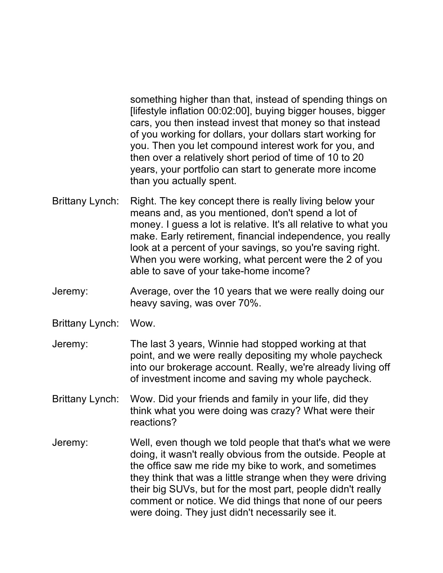something higher than that, instead of spending things on [lifestyle inflation 00:02:00], buying bigger houses, bigger cars, you then instead invest that money so that instead of you working for dollars, your dollars start working for you. Then you let compound interest work for you, and then over a relatively short period of time of 10 to 20 years, your portfolio can start to generate more income than you actually spent.

- Brittany Lynch: Right. The key concept there is really living below your means and, as you mentioned, don't spend a lot of money. I guess a lot is relative. It's all relative to what you make. Early retirement, financial independence, you really look at a percent of your savings, so you're saving right. When you were working, what percent were the 2 of you able to save of your take-home income?
- Jeremy: Average, over the 10 years that we were really doing our heavy saving, was over 70%.
- Brittany Lynch: Wow.
- Jeremy: The last 3 years, Winnie had stopped working at that point, and we were really depositing my whole paycheck into our brokerage account. Really, we're already living off of investment income and saving my whole paycheck.
- Brittany Lynch: Wow. Did your friends and family in your life, did they think what you were doing was crazy? What were their reactions?
- Jeremy: Well, even though we told people that that's what we were doing, it wasn't really obvious from the outside. People at the office saw me ride my bike to work, and sometimes they think that was a little strange when they were driving their big SUVs, but for the most part, people didn't really comment or notice. We did things that none of our peers were doing. They just didn't necessarily see it.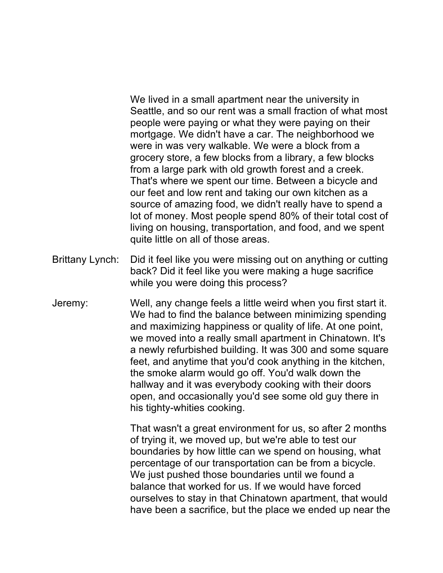We lived in a small apartment near the university in Seattle, and so our rent was a small fraction of what most people were paying or what they were paying on their mortgage. We didn't have a car. The neighborhood we were in was very walkable. We were a block from a grocery store, a few blocks from a library, a few blocks from a large park with old growth forest and a creek. That's where we spent our time. Between a bicycle and our feet and low rent and taking our own kitchen as a source of amazing food, we didn't really have to spend a lot of money. Most people spend 80% of their total cost of living on housing, transportation, and food, and we spent quite little on all of those areas.

- Brittany Lynch: Did it feel like you were missing out on anything or cutting back? Did it feel like you were making a huge sacrifice while you were doing this process?
- Jeremy: Well, any change feels a little weird when you first start it. We had to find the balance between minimizing spending and maximizing happiness or quality of life. At one point, we moved into a really small apartment in Chinatown. It's a newly refurbished building. It was 300 and some square feet, and anytime that you'd cook anything in the kitchen, the smoke alarm would go off. You'd walk down the hallway and it was everybody cooking with their doors open, and occasionally you'd see some old guy there in his tighty-whities cooking.

That wasn't a great environment for us, so after 2 months of trying it, we moved up, but we're able to test our boundaries by how little can we spend on housing, what percentage of our transportation can be from a bicycle. We just pushed those boundaries until we found a balance that worked for us. If we would have forced ourselves to stay in that Chinatown apartment, that would have been a sacrifice, but the place we ended up near the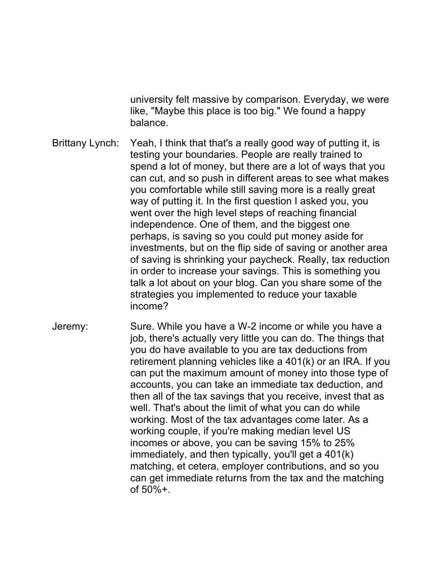university felt massive by comparison. Everyday, we were like, "Maybe this place is too big." We found a happy balance.

- Brittany Lynch: Yeah, I think that that's a really good way of putting it, is testing your boundaries. People are really trained to spend a lot of money, but there are a lot of ways that you can cut, and so push in different areas to see what makes you comfortable while still saving more is a really great way of putting it. In the first question I asked you, you went over the high level steps of reaching financial independence. One of them, and the biggest one perhaps, is saving so you could put money aside for investments, but on the flip side of saving or another area of saving is shrinking your paycheck. Really, tax reduction in order to increase your savings. This is something you talk a lot about on your blog. Can you share some of the strategies you implemented to reduce your taxable income?
- Jeremy: Sure. While you have a W-2 income or while you have a job, there's actually very little you can do. The things that you do have available to you are tax deductions from retirement planning vehicles like a 401(k) or an IRA. If you can put the maximum amount of money into those type of accounts, you can take an immediate tax deduction, and then all of the tax savings that you receive, invest that as well. That's about the limit of what you can do while working. Most of the tax advantages come later. As a working couple, if you're making median level US incomes or above, you can be saving 15% to 25% immediately, and then typically, you'll get a 401(k) matching, et cetera, employer contributions, and so you can get immediate returns from the tax and the matching of  $50% +$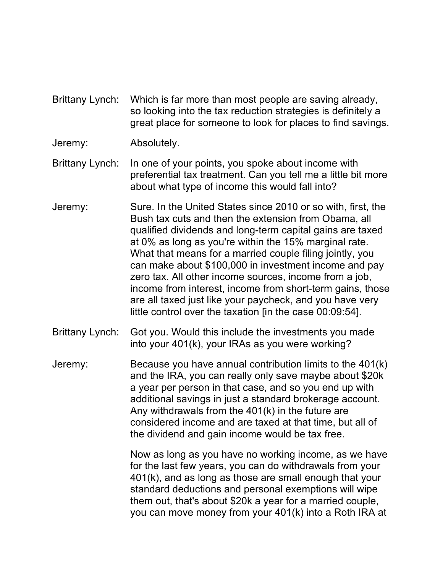- Brittany Lynch: Which is far more than most people are saving already, so looking into the tax reduction strategies is definitely a great place for someone to look for places to find savings.
- Jeremy: Absolutely.

Brittany Lynch: In one of your points, you spoke about income with preferential tax treatment. Can you tell me a little bit more about what type of income this would fall into?

- Jeremy: Sure. In the United States since 2010 or so with, first, the Bush tax cuts and then the extension from Obama, all qualified dividends and long-term capital gains are taxed at 0% as long as you're within the 15% marginal rate. What that means for a married couple filing jointly, you can make about \$100,000 in investment income and pay zero tax. All other income sources, income from a job, income from interest, income from short-term gains, those are all taxed just like your paycheck, and you have very little control over the taxation [in the case 00:09:54].
- Brittany Lynch: Got you. Would this include the investments you made into your 401(k), your IRAs as you were working?

Jeremy: Because you have annual contribution limits to the 401(k) and the IRA, you can really only save maybe about \$20k a year per person in that case, and so you end up with additional savings in just a standard brokerage account. Any withdrawals from the 401(k) in the future are considered income and are taxed at that time, but all of the dividend and gain income would be tax free.

> Now as long as you have no working income, as we have for the last few years, you can do withdrawals from your 401(k), and as long as those are small enough that your standard deductions and personal exemptions will wipe them out, that's about \$20k a year for a married couple, you can move money from your 401(k) into a Roth IRA at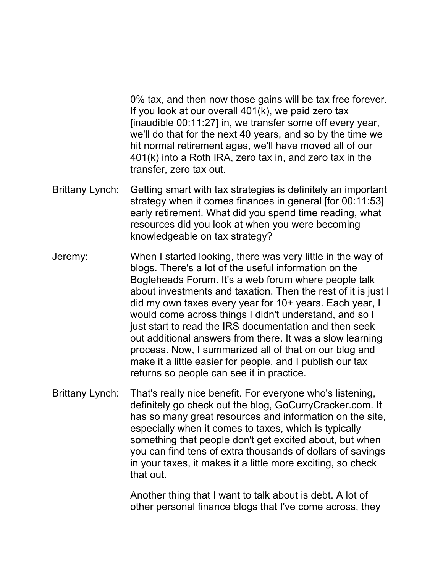0% tax, and then now those gains will be tax free forever. If you look at our overall 401(k), we paid zero tax [inaudible 00:11:27] in, we transfer some off every year, we'll do that for the next 40 years, and so by the time we hit normal retirement ages, we'll have moved all of our 401(k) into a Roth IRA, zero tax in, and zero tax in the transfer, zero tax out.

- Brittany Lynch: Getting smart with tax strategies is definitely an important strategy when it comes finances in general [for 00:11:53] early retirement. What did you spend time reading, what resources did you look at when you were becoming knowledgeable on tax strategy?
- Jeremy: When I started looking, there was very little in the way of blogs. There's a lot of the useful information on the Bogleheads Forum. It's a web forum where people talk about investments and taxation. Then the rest of it is just I did my own taxes every year for 10+ years. Each year, I would come across things I didn't understand, and so I just start to read the IRS documentation and then seek out additional answers from there. It was a slow learning process. Now, I summarized all of that on our blog and make it a little easier for people, and I publish our tax returns so people can see it in practice.
- Brittany Lynch: That's really nice benefit. For everyone who's listening, definitely go check out the blog, GoCurryCracker.com. It has so many great resources and information on the site, especially when it comes to taxes, which is typically something that people don't get excited about, but when you can find tens of extra thousands of dollars of savings in your taxes, it makes it a little more exciting, so check that out.

Another thing that I want to talk about is debt. A lot of other personal finance blogs that I've come across, they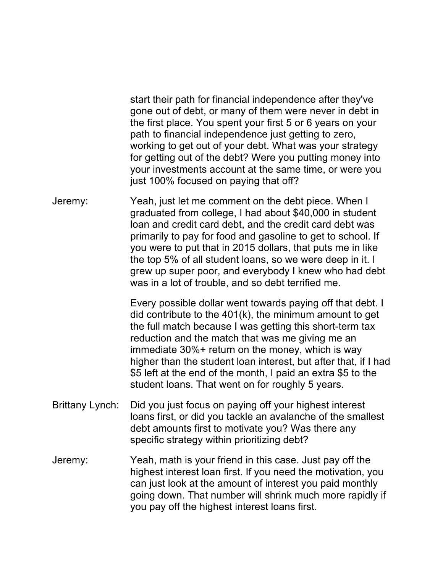start their path for financial independence after they've gone out of debt, or many of them were never in debt in the first place. You spent your first 5 or 6 years on your path to financial independence just getting to zero, working to get out of your debt. What was your strategy for getting out of the debt? Were you putting money into your investments account at the same time, or were you just 100% focused on paying that off?

Jeremy: Yeah, just let me comment on the debt piece. When I graduated from college, I had about \$40,000 in student loan and credit card debt, and the credit card debt was primarily to pay for food and gasoline to get to school. If you were to put that in 2015 dollars, that puts me in like the top 5% of all student loans, so we were deep in it. I grew up super poor, and everybody I knew who had debt was in a lot of trouble, and so debt terrified me.

> Every possible dollar went towards paying off that debt. I did contribute to the 401(k), the minimum amount to get the full match because I was getting this short-term tax reduction and the match that was me giving me an immediate 30%+ return on the money, which is way higher than the student loan interest, but after that, if I had \$5 left at the end of the month, I paid an extra \$5 to the student loans. That went on for roughly 5 years.

- Brittany Lynch: Did you just focus on paying off your highest interest loans first, or did you tackle an avalanche of the smallest debt amounts first to motivate you? Was there any specific strategy within prioritizing debt?
- Jeremy: Yeah, math is your friend in this case. Just pay off the highest interest loan first. If you need the motivation, you can just look at the amount of interest you paid monthly going down. That number will shrink much more rapidly if you pay off the highest interest loans first.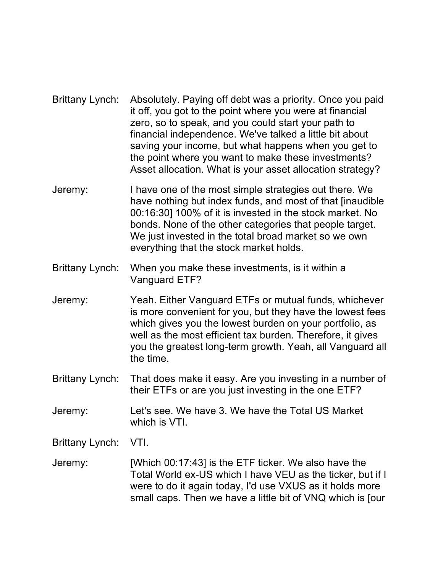- Brittany Lynch: Absolutely. Paying off debt was a priority. Once you paid it off, you got to the point where you were at financial zero, so to speak, and you could start your path to financial independence. We've talked a little bit about saving your income, but what happens when you get to the point where you want to make these investments? Asset allocation. What is your asset allocation strategy?
- Jeremy: I have one of the most simple strategies out there. We have nothing but index funds, and most of that [inaudible 00:16:30] 100% of it is invested in the stock market. No bonds. None of the other categories that people target. We just invested in the total broad market so we own everything that the stock market holds.
- Brittany Lynch: When you make these investments, is it within a Vanguard ETF?
- Jeremy: Yeah. Either Vanguard ETFs or mutual funds, whichever is more convenient for you, but they have the lowest fees which gives you the lowest burden on your portfolio, as well as the most efficient tax burden. Therefore, it gives you the greatest long-term growth. Yeah, all Vanguard all the time.
- Brittany Lynch: That does make it easy. Are you investing in a number of their ETFs or are you just investing in the one ETF?
- Jeremy: Let's see. We have 3. We have the Total US Market which is VTI.

Brittany Lynch: VTI.

Jeremy: [Which 00:17:43] is the ETF ticker. We also have the Total World ex-US which I have VEU as the ticker, but if I were to do it again today, I'd use VXUS as it holds more small caps. Then we have a little bit of VNQ which is [our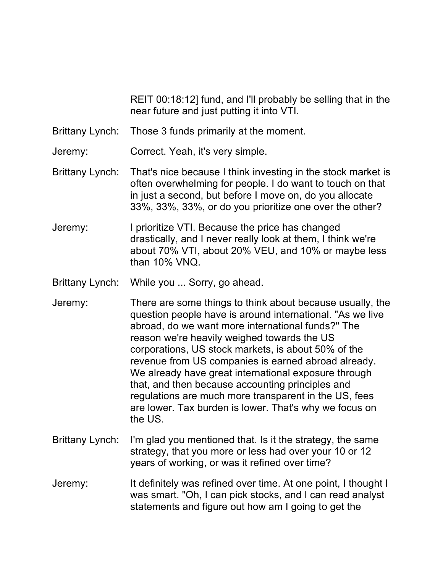REIT 00:18:12] fund, and I'll probably be selling that in the near future and just putting it into VTI.

- Brittany Lynch: Those 3 funds primarily at the moment.
- Jeremy: Correct. Yeah, it's very simple.

Brittany Lynch: That's nice because I think investing in the stock market is often overwhelming for people. I do want to touch on that in just a second, but before I move on, do you allocate 33%, 33%, 33%, or do you prioritize one over the other?

- Jeremy: I prioritize VTI. Because the price has changed drastically, and I never really look at them, I think we're about 70% VTI, about 20% VEU, and 10% or maybe less than 10% VNQ.
- Brittany Lynch: While you ... Sorry, go ahead.
- Jeremy: There are some things to think about because usually, the question people have is around international. "As we live abroad, do we want more international funds?" The reason we're heavily weighed towards the US corporations, US stock markets, is about 50% of the revenue from US companies is earned abroad already. We already have great international exposure through that, and then because accounting principles and regulations are much more transparent in the US, fees are lower. Tax burden is lower. That's why we focus on the US.
- Brittany Lynch: I'm glad you mentioned that. Is it the strategy, the same strategy, that you more or less had over your 10 or 12 years of working, or was it refined over time?
- Jeremy: It definitely was refined over time. At one point, I thought I was smart. "Oh, I can pick stocks, and I can read analyst statements and figure out how am I going to get the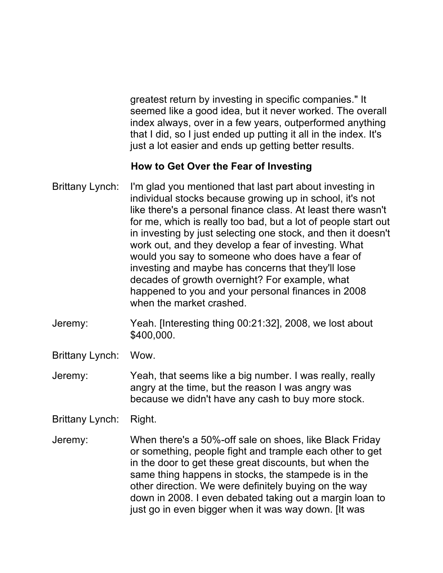greatest return by investing in specific companies." It seemed like a good idea, but it never worked. The overall index always, over in a few years, outperformed anything that I did, so I just ended up putting it all in the index. It's just a lot easier and ends up getting better results.

## **How to Get Over the Fear of Investing**

- Brittany Lynch: I'm glad you mentioned that last part about investing in individual stocks because growing up in school, it's not like there's a personal finance class. At least there wasn't for me, which is really too bad, but a lot of people start out in investing by just selecting one stock, and then it doesn't work out, and they develop a fear of investing. What would you say to someone who does have a fear of investing and maybe has concerns that they'll lose decades of growth overnight? For example, what happened to you and your personal finances in 2008 when the market crashed.
- Jeremy: Yeah. [Interesting thing 00:21:32], 2008, we lost about \$400,000.
- Brittany Lynch: Wow.
- Jeremy: Yeah, that seems like a big number. I was really, really angry at the time, but the reason I was angry was because we didn't have any cash to buy more stock.
- Brittany Lynch: Right.
- Jeremy: When there's a 50%-off sale on shoes, like Black Friday or something, people fight and trample each other to get in the door to get these great discounts, but when the same thing happens in stocks, the stampede is in the other direction. We were definitely buying on the way down in 2008. I even debated taking out a margin loan to just go in even bigger when it was way down. [It was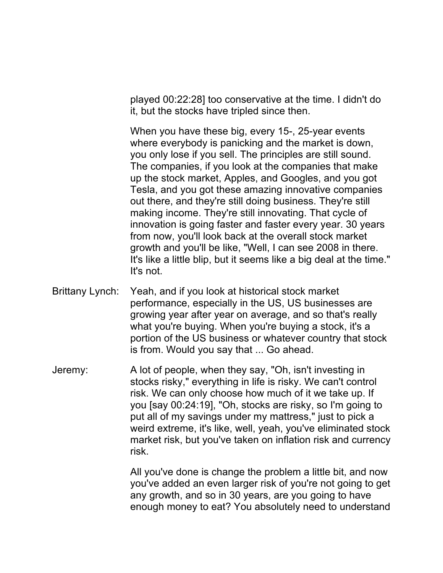played 00:22:28] too conservative at the time. I didn't do it, but the stocks have tripled since then.

When you have these big, every 15-, 25-year events where everybody is panicking and the market is down, you only lose if you sell. The principles are still sound. The companies, if you look at the companies that make up the stock market, Apples, and Googles, and you got Tesla, and you got these amazing innovative companies out there, and they're still doing business. They're still making income. They're still innovating. That cycle of innovation is going faster and faster every year. 30 years from now, you'll look back at the overall stock market growth and you'll be like, "Well, I can see 2008 in there. It's like a little blip, but it seems like a big deal at the time." It's not.

- Brittany Lynch: Yeah, and if you look at historical stock market performance, especially in the US, US businesses are growing year after year on average, and so that's really what you're buying. When you're buying a stock, it's a portion of the US business or whatever country that stock is from. Would you say that ... Go ahead.
- Jeremy: A lot of people, when they say, "Oh, isn't investing in stocks risky," everything in life is risky. We can't control risk. We can only choose how much of it we take up. If you [say 00:24:19], "Oh, stocks are risky, so I'm going to put all of my savings under my mattress," just to pick a weird extreme, it's like, well, yeah, you've eliminated stock market risk, but you've taken on inflation risk and currency risk.

All you've done is change the problem a little bit, and now you've added an even larger risk of you're not going to get any growth, and so in 30 years, are you going to have enough money to eat? You absolutely need to understand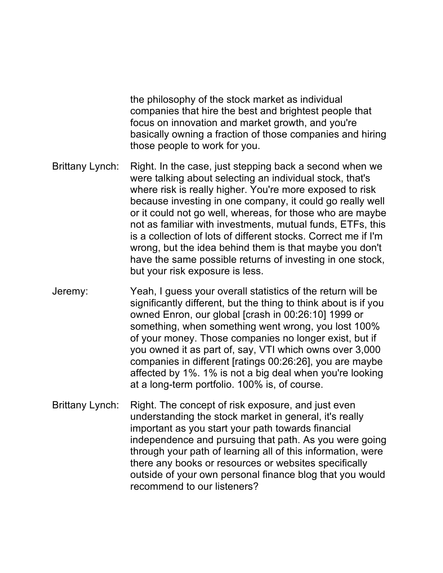the philosophy of the stock market as individual companies that hire the best and brightest people that focus on innovation and market growth, and you're basically owning a fraction of those companies and hiring those people to work for you.

- Brittany Lynch: Right. In the case, just stepping back a second when we were talking about selecting an individual stock, that's where risk is really higher. You're more exposed to risk because investing in one company, it could go really well or it could not go well, whereas, for those who are maybe not as familiar with investments, mutual funds, ETFs, this is a collection of lots of different stocks. Correct me if I'm wrong, but the idea behind them is that maybe you don't have the same possible returns of investing in one stock, but your risk exposure is less.
- Jeremy: Yeah, I guess your overall statistics of the return will be significantly different, but the thing to think about is if you owned Enron, our global [crash in 00:26:10] 1999 or something, when something went wrong, you lost 100% of your money. Those companies no longer exist, but if you owned it as part of, say, VTI which owns over 3,000 companies in different [ratings 00:26:26], you are maybe affected by 1%. 1% is not a big deal when you're looking at a long-term portfolio. 100% is, of course.
- Brittany Lynch: Right. The concept of risk exposure, and just even understanding the stock market in general, it's really important as you start your path towards financial independence and pursuing that path. As you were going through your path of learning all of this information, were there any books or resources or websites specifically outside of your own personal finance blog that you would recommend to our listeners?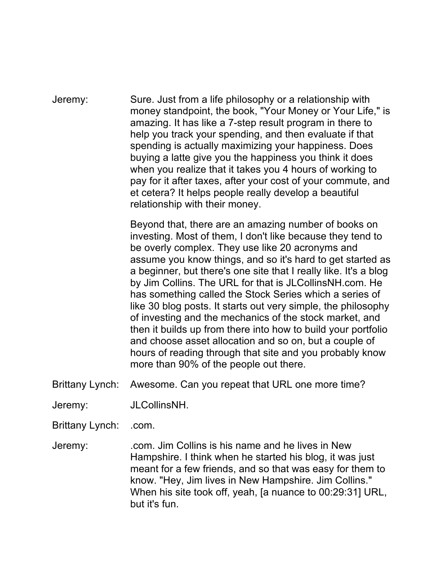Jeremy: Sure. Just from a life philosophy or a relationship with money standpoint, the book, "Your Money or Your Life," is amazing. It has like a 7-step result program in there to help you track your spending, and then evaluate if that spending is actually maximizing your happiness. Does buying a latte give you the happiness you think it does when you realize that it takes you 4 hours of working to pay for it after taxes, after your cost of your commute, and et cetera? It helps people really develop a beautiful relationship with their money.

> Beyond that, there are an amazing number of books on investing. Most of them, I don't like because they tend to be overly complex. They use like 20 acronyms and assume you know things, and so it's hard to get started as a beginner, but there's one site that I really like. It's a blog by Jim Collins. The URL for that is JLCollinsNH.com. He has something called the Stock Series which a series of like 30 blog posts. It starts out very simple, the philosophy of investing and the mechanics of the stock market, and then it builds up from there into how to build your portfolio and choose asset allocation and so on, but a couple of hours of reading through that site and you probably know more than 90% of the people out there.

- Brittany Lynch: Awesome. Can you repeat that URL one more time?
- Jeremy: JLCollinsNH.

Brittany Lynch: .com.

Jeremy: .com. Jim Collins is his name and he lives in New Hampshire. I think when he started his blog, it was just meant for a few friends, and so that was easy for them to know. "Hey, Jim lives in New Hampshire. Jim Collins." When his site took off, yeah, [a nuance to 00:29:31] URL, but it's fun.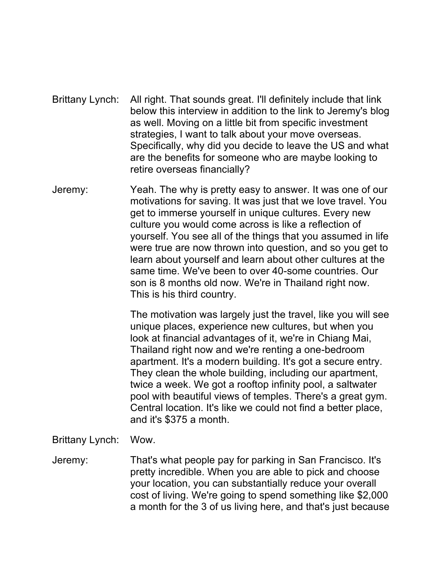- Brittany Lynch: All right. That sounds great. I'll definitely include that link below this interview in addition to the link to Jeremy's blog as well. Moving on a little bit from specific investment strategies, I want to talk about your move overseas. Specifically, why did you decide to leave the US and what are the benefits for someone who are maybe looking to retire overseas financially?
- Jeremy: Yeah. The why is pretty easy to answer. It was one of our motivations for saving. It was just that we love travel. You get to immerse yourself in unique cultures. Every new culture you would come across is like a reflection of yourself. You see all of the things that you assumed in life were true are now thrown into question, and so you get to learn about yourself and learn about other cultures at the same time. We've been to over 40-some countries. Our son is 8 months old now. We're in Thailand right now. This is his third country.

The motivation was largely just the travel, like you will see unique places, experience new cultures, but when you look at financial advantages of it, we're in Chiang Mai, Thailand right now and we're renting a one-bedroom apartment. It's a modern building. It's got a secure entry. They clean the whole building, including our apartment, twice a week. We got a rooftop infinity pool, a saltwater pool with beautiful views of temples. There's a great gym. Central location. It's like we could not find a better place, and it's \$375 a month.

Brittany Lynch: Wow.

Jeremy: That's what people pay for parking in San Francisco. It's pretty incredible. When you are able to pick and choose your location, you can substantially reduce your overall cost of living. We're going to spend something like \$2,000 a month for the 3 of us living here, and that's just because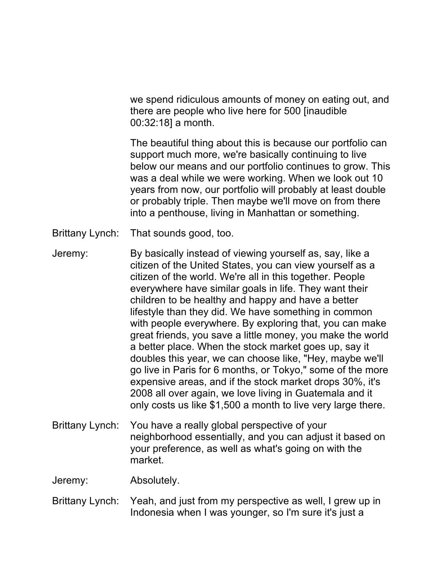we spend ridiculous amounts of money on eating out, and there are people who live here for 500 [inaudible 00:32:18] a month.

The beautiful thing about this is because our portfolio can support much more, we're basically continuing to live below our means and our portfolio continues to grow. This was a deal while we were working. When we look out 10 years from now, our portfolio will probably at least double or probably triple. Then maybe we'll move on from there into a penthouse, living in Manhattan or something.

- Brittany Lynch: That sounds good, too.
- Jeremy: By basically instead of viewing yourself as, say, like a citizen of the United States, you can view yourself as a citizen of the world. We're all in this together. People everywhere have similar goals in life. They want their children to be healthy and happy and have a better lifestyle than they did. We have something in common with people everywhere. By exploring that, you can make great friends, you save a little money, you make the world a better place. When the stock market goes up, say it doubles this year, we can choose like, "Hey, maybe we'll go live in Paris for 6 months, or Tokyo," some of the more expensive areas, and if the stock market drops 30%, it's 2008 all over again, we love living in Guatemala and it only costs us like \$1,500 a month to live very large there.
- Brittany Lynch: You have a really global perspective of your neighborhood essentially, and you can adjust it based on your preference, as well as what's going on with the market.

Jeremy: Absolutely.

Brittany Lynch: Yeah, and just from my perspective as well, I grew up in Indonesia when I was younger, so I'm sure it's just a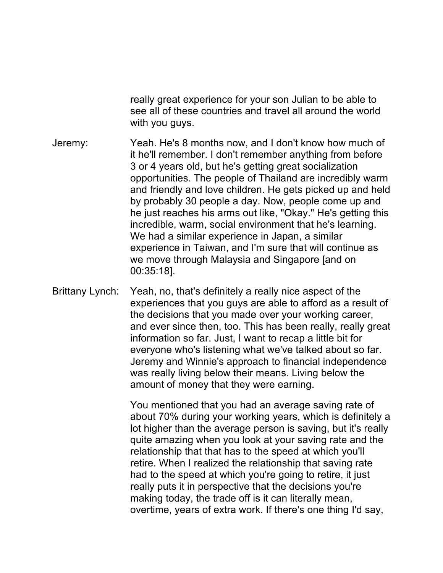really great experience for your son Julian to be able to see all of these countries and travel all around the world with you guys.

- Jeremy: Yeah. He's 8 months now, and I don't know how much of it he'll remember. I don't remember anything from before 3 or 4 years old, but he's getting great socialization opportunities. The people of Thailand are incredibly warm and friendly and love children. He gets picked up and held by probably 30 people a day. Now, people come up and he just reaches his arms out like, "Okay." He's getting this incredible, warm, social environment that he's learning. We had a similar experience in Japan, a similar experience in Taiwan, and I'm sure that will continue as we move through Malaysia and Singapore [and on 00:35:18].
- Brittany Lynch: Yeah, no, that's definitely a really nice aspect of the experiences that you guys are able to afford as a result of the decisions that you made over your working career, and ever since then, too. This has been really, really great information so far. Just, I want to recap a little bit for everyone who's listening what we've talked about so far. Jeremy and Winnie's approach to financial independence was really living below their means. Living below the amount of money that they were earning.

You mentioned that you had an average saving rate of about 70% during your working years, which is definitely a lot higher than the average person is saving, but it's really quite amazing when you look at your saving rate and the relationship that that has to the speed at which you'll retire. When I realized the relationship that saving rate had to the speed at which you're going to retire, it just really puts it in perspective that the decisions you're making today, the trade off is it can literally mean, overtime, years of extra work. If there's one thing I'd say,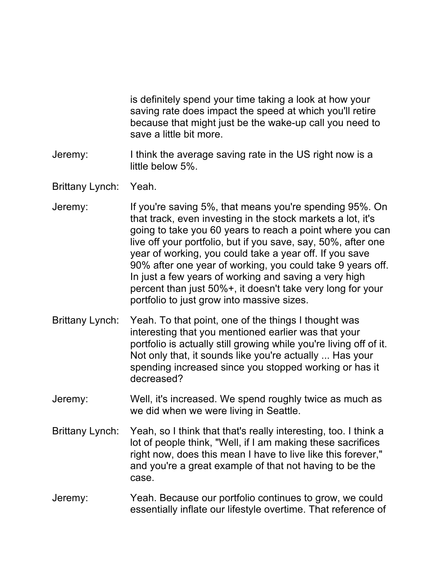is definitely spend your time taking a look at how your saving rate does impact the speed at which you'll retire because that might just be the wake-up call you need to save a little bit more.

- Jeremy: I think the average saving rate in the US right now is a little below 5%.
- Brittany Lynch: Yeah.
- Jeremy: If you're saving 5%, that means you're spending 95%. On that track, even investing in the stock markets a lot, it's going to take you 60 years to reach a point where you can live off your portfolio, but if you save, say, 50%, after one year of working, you could take a year off. If you save 90% after one year of working, you could take 9 years off. In just a few years of working and saving a very high percent than just 50%+, it doesn't take very long for your portfolio to just grow into massive sizes.
- Brittany Lynch: Yeah. To that point, one of the things I thought was interesting that you mentioned earlier was that your portfolio is actually still growing while you're living off of it. Not only that, it sounds like you're actually ... Has your spending increased since you stopped working or has it decreased?
- Jeremy: Well, it's increased. We spend roughly twice as much as we did when we were living in Seattle.
- Brittany Lynch: Yeah, so I think that that's really interesting, too. I think a lot of people think, "Well, if I am making these sacrifices right now, does this mean I have to live like this forever," and you're a great example of that not having to be the case.
- Jeremy: Yeah. Because our portfolio continues to grow, we could essentially inflate our lifestyle overtime. That reference of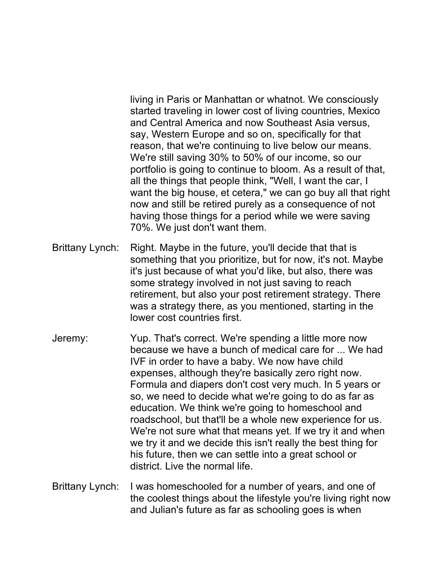living in Paris or Manhattan or whatnot. We consciously started traveling in lower cost of living countries, Mexico and Central America and now Southeast Asia versus, say, Western Europe and so on, specifically for that reason, that we're continuing to live below our means. We're still saving 30% to 50% of our income, so our portfolio is going to continue to bloom. As a result of that, all the things that people think, "Well, I want the car, I want the big house, et cetera," we can go buy all that right now and still be retired purely as a consequence of not having those things for a period while we were saving 70%. We just don't want them.

- Brittany Lynch: Right. Maybe in the future, you'll decide that that is something that you prioritize, but for now, it's not. Maybe it's just because of what you'd like, but also, there was some strategy involved in not just saving to reach retirement, but also your post retirement strategy. There was a strategy there, as you mentioned, starting in the lower cost countries first.
- Jeremy: Yup. That's correct. We're spending a little more now because we have a bunch of medical care for ... We had IVF in order to have a baby. We now have child expenses, although they're basically zero right now. Formula and diapers don't cost very much. In 5 years or so, we need to decide what we're going to do as far as education. We think we're going to homeschool and roadschool, but that'll be a whole new experience for us. We're not sure what that means yet. If we try it and when we try it and we decide this isn't really the best thing for his future, then we can settle into a great school or district. Live the normal life.
- Brittany Lynch: I was homeschooled for a number of years, and one of the coolest things about the lifestyle you're living right now and Julian's future as far as schooling goes is when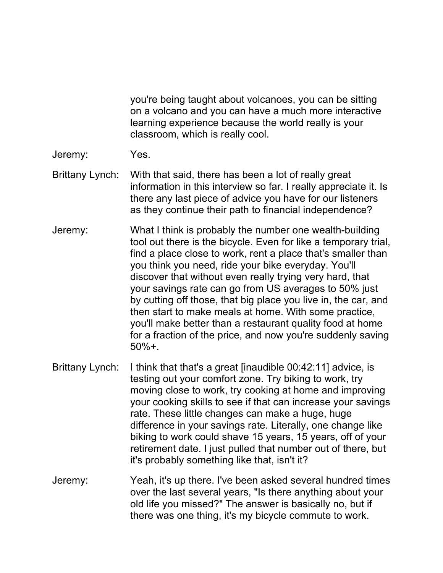you're being taught about volcanoes, you can be sitting on a volcano and you can have a much more interactive learning experience because the world really is your classroom, which is really cool.

- Jeremy: Yes.
- Brittany Lynch: With that said, there has been a lot of really great information in this interview so far. I really appreciate it. Is there any last piece of advice you have for our listeners as they continue their path to financial independence?
- Jeremy: What I think is probably the number one wealth-building tool out there is the bicycle. Even for like a temporary trial, find a place close to work, rent a place that's smaller than you think you need, ride your bike everyday. You'll discover that without even really trying very hard, that your savings rate can go from US averages to 50% just by cutting off those, that big place you live in, the car, and then start to make meals at home. With some practice, you'll make better than a restaurant quality food at home for a fraction of the price, and now you're suddenly saving 50%+.
- Brittany Lynch: I think that that's a great [inaudible 00:42:11] advice, is testing out your comfort zone. Try biking to work, try moving close to work, try cooking at home and improving your cooking skills to see if that can increase your savings rate. These little changes can make a huge, huge difference in your savings rate. Literally, one change like biking to work could shave 15 years, 15 years, off of your retirement date. I just pulled that number out of there, but it's probably something like that, isn't it?
- Jeremy: Yeah, it's up there. I've been asked several hundred times over the last several years, "Is there anything about your old life you missed?" The answer is basically no, but if there was one thing, it's my bicycle commute to work.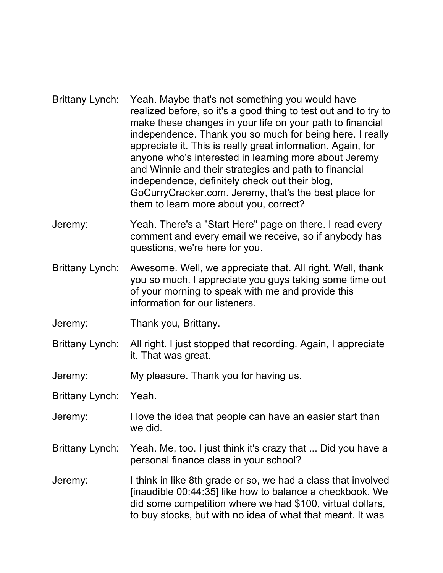- Brittany Lynch: Yeah. Maybe that's not something you would have realized before, so it's a good thing to test out and to try to make these changes in your life on your path to financial independence. Thank you so much for being here. I really appreciate it. This is really great information. Again, for anyone who's interested in learning more about Jeremy and Winnie and their strategies and path to financial independence, definitely check out their blog, GoCurryCracker.com. Jeremy, that's the best place for them to learn more about you, correct?
- Jeremy: Yeah. There's a "Start Here" page on there. I read every comment and every email we receive, so if anybody has questions, we're here for you.
- Brittany Lynch: Awesome. Well, we appreciate that. All right. Well, thank you so much. I appreciate you guys taking some time out of your morning to speak with me and provide this information for our listeners.
- Jeremy: Thank you, Brittany.
- Brittany Lynch: All right. I just stopped that recording. Again, I appreciate it. That was great.

Jeremy: My pleasure. Thank you for having us.

Brittany Lynch: Yeah.

- Jeremy: I love the idea that people can have an easier start than we did.
- Brittany Lynch: Yeah. Me, too. I just think it's crazy that ... Did you have a personal finance class in your school?
- Jeremy: I think in like 8th grade or so, we had a class that involved [inaudible 00:44:35] like how to balance a checkbook. We did some competition where we had \$100, virtual dollars, to buy stocks, but with no idea of what that meant. It was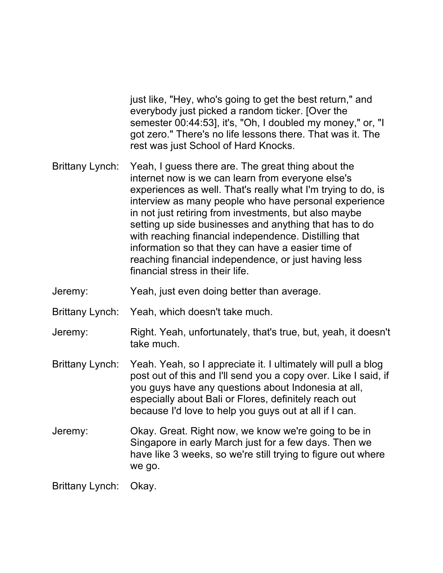just like, "Hey, who's going to get the best return," and everybody just picked a random ticker. [Over the semester 00:44:53], it's, "Oh, I doubled my money," or, "I got zero." There's no life lessons there. That was it. The rest was just School of Hard Knocks.

- Brittany Lynch: Yeah, I guess there are. The great thing about the internet now is we can learn from everyone else's experiences as well. That's really what I'm trying to do, is interview as many people who have personal experience in not just retiring from investments, but also maybe setting up side businesses and anything that has to do with reaching financial independence. Distilling that information so that they can have a easier time of reaching financial independence, or just having less financial stress in their life.
- Jeremy: Yeah, just even doing better than average.
- Brittany Lynch: Yeah, which doesn't take much.
- Jeremy: Right. Yeah, unfortunately, that's true, but, yeah, it doesn't take much.
- Brittany Lynch: Yeah. Yeah, so I appreciate it. I ultimately will pull a blog post out of this and I'll send you a copy over. Like I said, if you guys have any questions about Indonesia at all, especially about Bali or Flores, definitely reach out because I'd love to help you guys out at all if I can.
- Jeremy: Okay. Great. Right now, we know we're going to be in Singapore in early March just for a few days. Then we have like 3 weeks, so we're still trying to figure out where we go.

Brittany Lynch: Okay.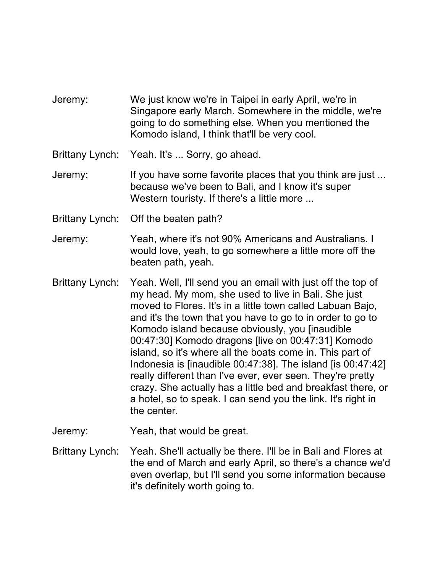- Jeremy: We just know we're in Taipei in early April, we're in Singapore early March. Somewhere in the middle, we're going to do something else. When you mentioned the Komodo island, I think that'll be very cool.
- Brittany Lynch: Yeah. It's ... Sorry, go ahead.
- Jeremy: If you have some favorite places that you think are just ... because we've been to Bali, and I know it's super Western touristy. If there's a little more ...
- Brittany Lynch: Off the beaten path?
- Jeremy: Yeah, where it's not 90% Americans and Australians. I would love, yeah, to go somewhere a little more off the beaten path, yeah.
- Brittany Lynch: Yeah. Well, I'll send you an email with just off the top of my head. My mom, she used to live in Bali. She just moved to Flores. It's in a little town called Labuan Bajo, and it's the town that you have to go to in order to go to Komodo island because obviously, you [inaudible 00:47:30] Komodo dragons [live on 00:47:31] Komodo island, so it's where all the boats come in. This part of Indonesia is [inaudible 00:47:38]. The island [is 00:47:42] really different than I've ever, ever seen. They're pretty crazy. She actually has a little bed and breakfast there, or a hotel, so to speak. I can send you the link. It's right in the center.
- Jeremy: Yeah, that would be great.
- Brittany Lynch: Yeah. She'll actually be there. I'll be in Bali and Flores at the end of March and early April, so there's a chance we'd even overlap, but I'll send you some information because it's definitely worth going to.